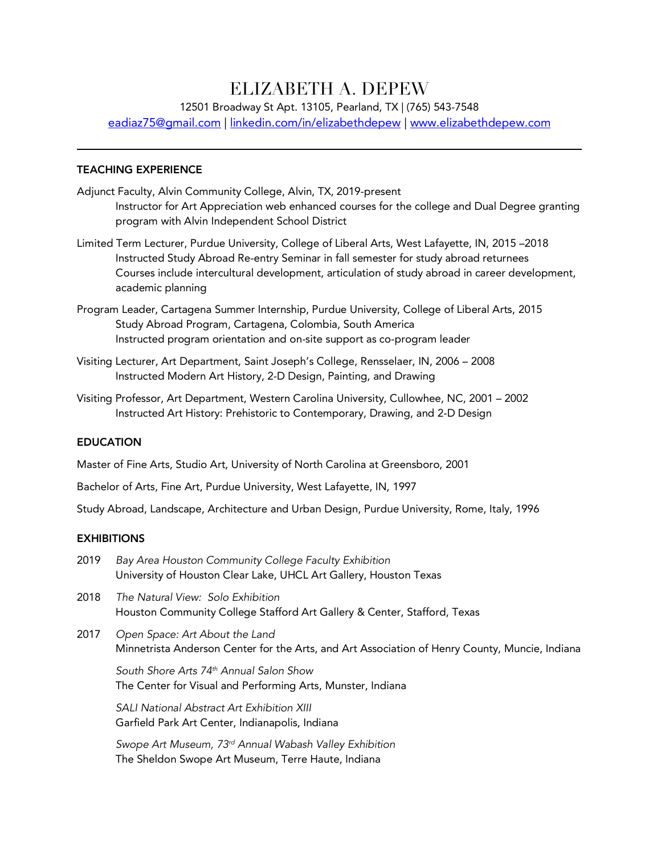# ELIZABETH A. DEPEW

12501 Broadway St Apt. 13105, Pearland, TX | (765) 543-7548

eadiaz75@gmail.com | linkedin.com/in/elizabethdepew | www.elizabethdepew.com

## TEACHING EXPERIENCE

- Adjunct Faculty, Alvin Community College, Alvin, TX, 2019-present Instructor for Art Appreciation web enhanced courses for the college and Dual Degree granting program with Alvin Independent School District
- Limited Term Lecturer, Purdue University, College of Liberal Arts, West Lafayette, IN, 2015 –2018 Instructed Study Abroad Re-entry Seminar in fall semester for study abroad returnees Courses include intercultural development, articulation of study abroad in career development, academic planning
- Program Leader, Cartagena Summer Internship, Purdue University, College of Liberal Arts, 2015 Study Abroad Program, Cartagena, Colombia, South America Instructed program orientation and on-site support as co-program leader
- Visiting Lecturer, Art Department, Saint Joseph's College, Rensselaer, IN, 2006 2008 Instructed Modern Art History, 2-D Design, Painting, and Drawing
- Visiting Professor, Art Department, Western Carolina University, Cullowhee, NC, 2001 2002 Instructed Art History: Prehistoric to Contemporary, Drawing, and 2-D Design

## **EDUCATION**

Master of Fine Arts, Studio Art, University of North Carolina at Greensboro, 2001

Bachelor of Arts, Fine Art, Purdue University, West Lafayette, IN, 1997

Study Abroad, Landscape, Architecture and Urban Design, Purdue University, Rome, Italy, 1996

#### **EXHIBITIONS**

- 2019 *Bay Area Houston Community College Faculty Exhibition* University of Houston Clear Lake, UHCL Art Gallery, Houston Texas
- 2018 *The Natural View: Solo Exhibition* Houston Community College Stafford Art Gallery & Center, Stafford, Texas
- 2017 *Open Space: Art About the Land* Minnetrista Anderson Center for the Arts, and Art Association of Henry County, Muncie, Indiana

*South Shore Arts 74th Annual Salon Show* The Center for Visual and Performing Arts, Munster, Indiana

*SALI National Abstract Art Exhibition XIII* Garfield Park Art Center, Indianapolis, Indiana

*Swope Art Museum, 73rd Annual Wabash Valley Exhibition* The Sheldon Swope Art Museum, Terre Haute, Indiana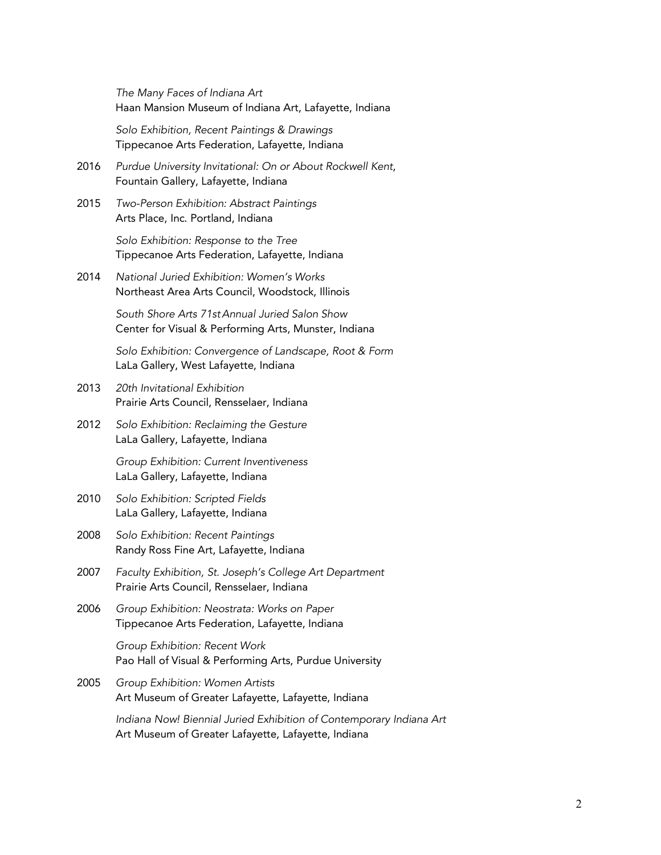*The Many Faces of Indiana Art* Haan Mansion Museum of Indiana Art, Lafayette, Indiana

*Solo Exhibition, Recent Paintings & Drawings* Tippecanoe Arts Federation, Lafayette, Indiana

- 2016 *Purdue University Invitational: On or About Rockwell Kent*, Fountain Gallery, Lafayette, Indiana
- 2015 *Two-Person Exhibition: Abstract Paintings* Arts Place, Inc. Portland, Indiana

*Solo Exhibition: Response to the Tree*  Tippecanoe Arts Federation, Lafayette, Indiana

2014 *National Juried Exhibition: Women's Works* Northeast Area Arts Council, Woodstock, Illinois

> *South Shore Arts 71stAnnual Juried Salon Show* Center for Visual & Performing Arts, Munster, Indiana

*Solo Exhibition: Convergence of Landscape, Root & Form* LaLa Gallery, West Lafayette, Indiana

- 2013 *20th Invitational Exhibition* Prairie Arts Council, Rensselaer, Indiana
- 2012 *Solo Exhibition: Reclaiming the Gesture* LaLa Gallery, Lafayette, Indiana

*Group Exhibition: Current Inventiveness* LaLa Gallery, Lafayette, Indiana

- 2010 *Solo Exhibition: Scripted Fields* LaLa Gallery, Lafayette, Indiana
- 2008 *Solo Exhibition: Recent Paintings* Randy Ross Fine Art, Lafayette, Indiana
- 2007 *Faculty Exhibition, St. Joseph's College Art Department* Prairie Arts Council, Rensselaer, Indiana
- 2006 *Group Exhibition: Neostrata: Works on Paper* Tippecanoe Arts Federation, Lafayette, Indiana

*Group Exhibition: Recent Work* Pao Hall of Visual & Performing Arts, Purdue University

2005 *Group Exhibition: Women Artists* Art Museum of Greater Lafayette, Lafayette, Indiana

> *Indiana Now! Biennial Juried Exhibition of Contemporary Indiana Art* Art Museum of Greater Lafayette, Lafayette, Indiana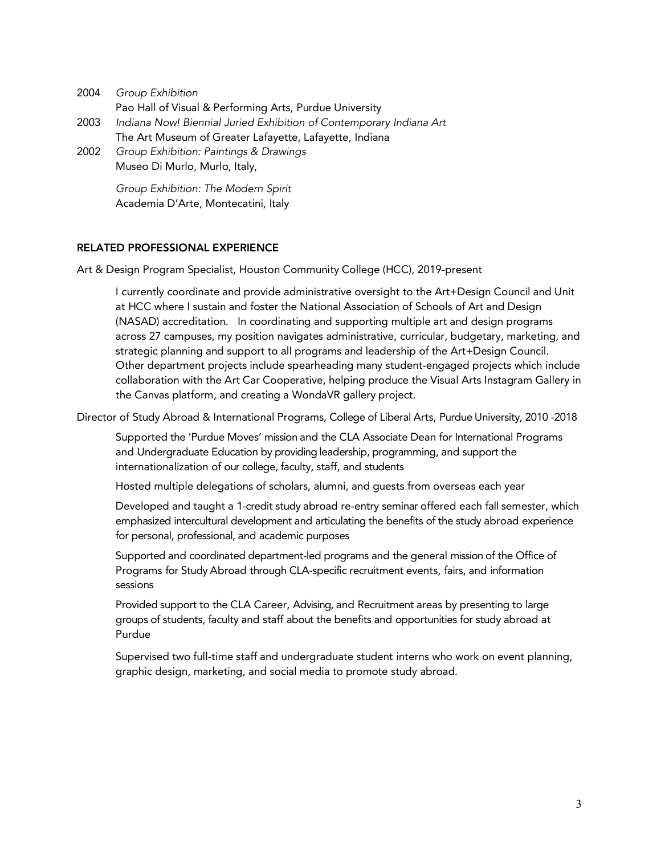2004 *Group Exhibition* Pao Hall of Visual & Performing Arts, Purdue University 2003 *Indiana Now! Biennial Juried Exhibition of Contemporary Indiana Art* The Art Museum of Greater Lafayette, Lafayette, Indiana 2002 *Group Exhibition: Paintings & Drawings* Museo Di Murlo, Murlo, Italy, *Group Exhibition: The Modern Spirit*

Academia D'Arte, Montecatini, Italy

# RELATED PROFESSIONAL EXPERIENCE

Art & Design Program Specialist, Houston Community College (HCC), 2019-present

I currently coordinate and provide administrative oversight to the Art+Design Council and Unit at HCC where I sustain and foster the National Association of Schools of Art and Design (NASAD) accreditation. In coordinating and supporting multiple art and design programs across 27 campuses, my position navigates administrative, curricular, budgetary, marketing, and strategic planning and support to all programs and leadership of the Art+Design Council. Other department projects include spearheading many student-engaged projects which include collaboration with the Art Car Cooperative, helping produce the Visual Arts Instagram Gallery in the Canvas platform, and creating a WondaVR gallery project.

Director of Study Abroad & International Programs, College of Liberal Arts, Purdue University, 2010 -2018

Supported the 'Purdue Moves' mission and the CLA Associate Dean for International Programs and Undergraduate Education by providing leadership, programming, and support the internationalization of our college, faculty, staff, and students

Hosted multiple delegations of scholars, alumni, and guests from overseas each year

Developed and taught a 1-credit study abroad re-entry seminar offered each fall semester, which emphasized intercultural development and articulating the benefits of the study abroad experience for personal, professional, and academic purposes

Supported and coordinated department-led programs and the general mission of the Office of Programs for Study Abroad through CLA-specific recruitment events, fairs, and information sessions

Provided support to the CLA Career, Advising, and Recruitment areas by presenting to large groups of students, faculty and staff about the benefits and opportunities for study abroad at Purdue

Supervised two full-time staff and undergraduate student interns who work on event planning, graphic design, marketing, and social media to promote study abroad.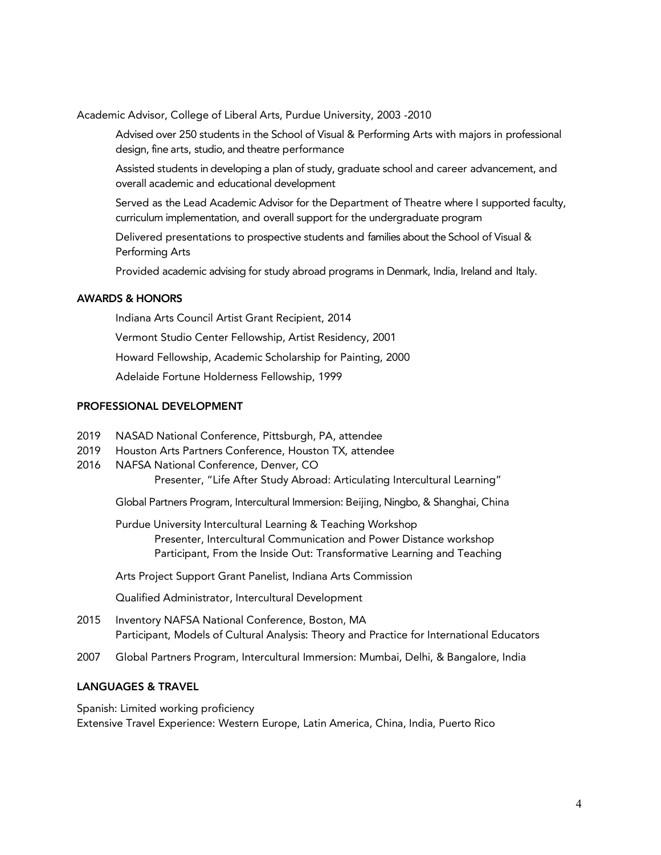Academic Advisor, College of Liberal Arts, Purdue University, 2003 -2010

Advised over 250 students in the School of Visual & Performing Arts with majors in professional design, fine arts, studio, and theatre performance

Assisted students in developing a plan of study, graduate school and career advancement, and overall academic and educational development

Served as the Lead Academic Advisor for the Department of Theatre where I supported faculty, curriculum implementation, and overall support for the undergraduate program

Delivered presentations to prospective students and families about the School of Visual & Performing Arts

Provided academic advising for study abroad programs in Denmark, India, Ireland and Italy.

## AWARDS & HONORS

Indiana Arts Council Artist Grant Recipient, 2014 Vermont Studio Center Fellowship, Artist Residency, 2001 Howard Fellowship, Academic Scholarship for Painting, 2000 Adelaide Fortune Holderness Fellowship, 1999

## PROFESSIONAL DEVELOPMENT

- 2019 NASAD National Conference, Pittsburgh, PA, attendee
- 2019 Houston Arts Partners Conference, Houston TX, attendee
- 2016 NAFSA National Conference, Denver, CO

Presenter, "Life After Study Abroad: Articulating Intercultural Learning"

Global Partners Program, Intercultural Immersion: Beijing, Ningbo, & Shanghai, China

Purdue University Intercultural Learning & Teaching Workshop Presenter, Intercultural Communication and Power Distance workshop Participant, From the Inside Out: Transformative Learning and Teaching

Arts Project Support Grant Panelist, Indiana Arts Commission

Qualified Administrator, Intercultural Development

- 2015 Inventory NAFSA National Conference, Boston, MA Participant, Models of Cultural Analysis: Theory and Practice for International Educators
- 2007 Global Partners Program, Intercultural Immersion: Mumbai, Delhi, & Bangalore, India

## LANGUAGES & TRAVEL

Spanish: Limited working proficiency

Extensive Travel Experience: Western Europe, Latin America, China, India, Puerto Rico